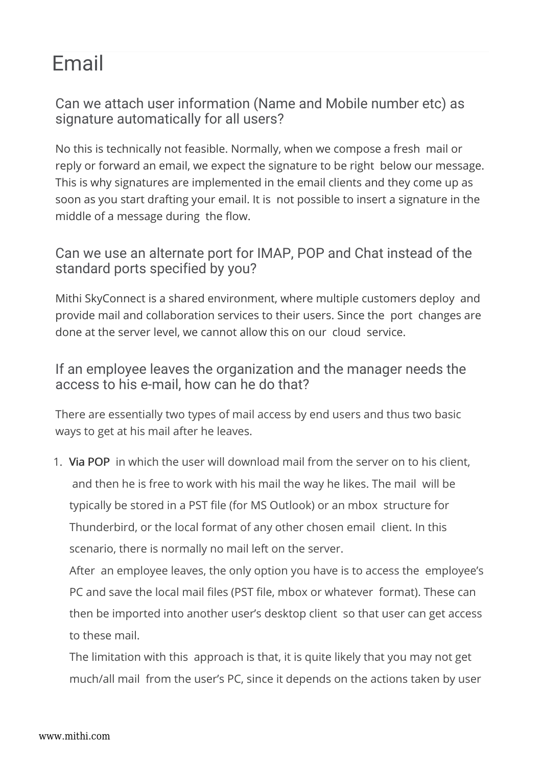## Email

Can we attach user information (Name and Mobile number etc) as signature automatically for all users?

No this is technically not feasible. Normally, when we compose a fresh mail or reply or forward an email, we expect the signature to be right below our message. This is why signatures are implemented in the email clients and they come up as soon as you start drafting your email. It is not possible to insert a signature in the middle of a message during the flow.

Can we use an alternate port for IMAP, POP and Chat instead of the standard ports specified by you?

Mithi SkyConnect is a shared environment, where multiple customers deploy and provide mail and collaboration services to their users. Since the port changes are done at the server level, we cannot allow this on our cloud service.

If an employee leaves the organization and the manager needs the access to his e-mail, how can he do that?

There are essentially two types of mail access by end users and thus two basic ways to get at his mail after he leaves.

1. Via POP in which the user will download mail from the server on to his client, and then he is free to work with his mail the way he likes. The mail will be typically be stored in a PST file (for MS Outlook) or an mbox structure for Thunderbird, or the local format of any other chosen email client. In this scenario, there is normally no mail left on the server.

After an employee leaves, the only option you have is to access the employee's PC and save the local mail files (PST file, mbox or whatever format). These can then be imported into another user's desktop client so that user can get access to these mail.

The limitation with this approach is that, it is quite likely that you may not get much/all mail from the user's PC, since it depends on the actions taken by user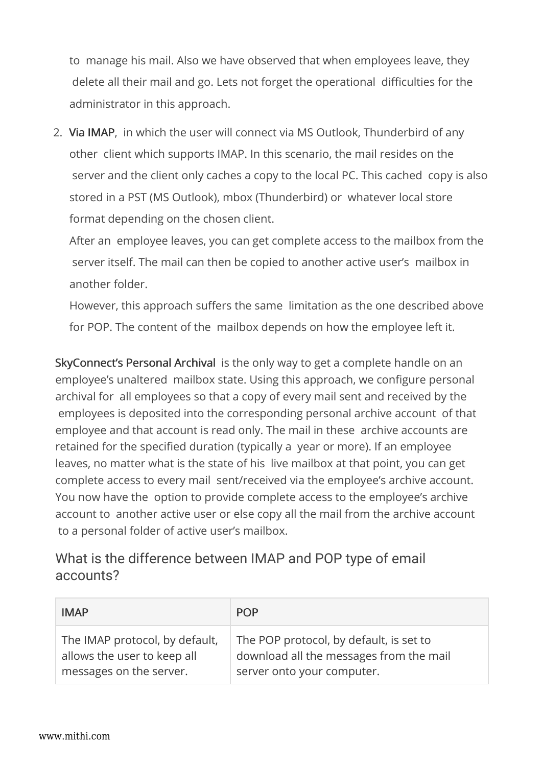to manage his mail. Also we have observed that when employees leave, they delete all their mail and go. Lets not forget the operational difficulties for the administrator in this approach.

2. Via IMAP, in which the user will connect via MS Outlook, Thunderbird of any other client which supports IMAP. In this scenario, the mail resides on the server and the client only caches a copy to the local PC. This cached copy is also stored in a PST (MS Outlook), mbox (Thunderbird) or whatever local store format depending on the chosen client.

After an employee leaves, you can get complete access to the mailbox from the server itself. The mail can then be copied to another active user's mailbox in another folder.

However, this approach suffers the same limitation as the one described above for POP. The content of the mailbox depends on how the employee left it.

SkyConnect's Personal Archival is the only way to get a complete handle on an employee's unaltered mailbox state. Using this approach, we configure personal archival for all employees so that a copy of every mail sent and received by the employees is deposited into the corresponding personal archive account of that employee and that account is read only. The mail in these archive accounts are retained for the specified duration (typically a year or more). If an employee leaves, no matter what is the state of his live mailbox at that point, you can get complete access to every mail sent/received via the employee's archive account. You now have the option to provide complete access to the employee's archive account to another active user or else copy all the mail from the archive account to a personal folder of active user's mailbox.

## What is the difference between IMAP and POP type of email accounts?

| <b>IMAP</b>                    | <b>POP</b>                              |
|--------------------------------|-----------------------------------------|
| The IMAP protocol, by default, | The POP protocol, by default, is set to |
| allows the user to keep all    | download all the messages from the mail |
| messages on the server.        | server onto your computer.              |